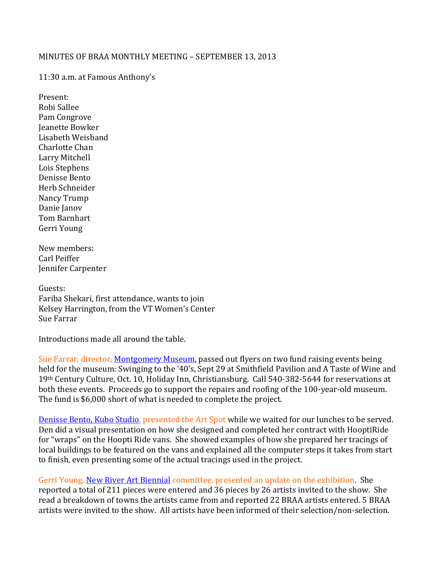## MINUTES OF BRAA MONTHLY MEETING – SEPTEMBER 13, 2013

11:30 a.m. at Famous Anthony's

Present: Robi Sallee Pam Congrove Jeanette Bowker Lisabeth Weisband Charlotte Chan Larry Mitchell Lois Stephens Denisse Bento Herb Schneider Nancy Trump Danie Janov Tom Barnhart Gerri Young

New members: Carl Peiffer Jennifer Carpenter

Guests: Fariba Shekari, first attendance, wants to join Kelsey Harrington, from the VT Women's Center Sue Farrar

Introductions made all around the table.

Sue Farrar, director, [Montgomery Museum,](http://www.montgomerymuseum.org/) passed out flyers on two fund raising events being held for the museum: Swinging to the '40's, Sept 29 at Smithfield Pavilion and A Taste of Wine and 19th Century Culture, Oct. 10, Holiday Inn, Christiansburg. Call 540-382-5644 for reservations at both these events. Proceeds go to support the repairs and roofing of the 100-year-old museum. The fund is \$6,000 short of what is needed to complete the project.

[Denisse Bento, Kubo Studio,](http://www.denbento.com/) presented the Art Spot while we waited for our lunches to be served. Den did a visual presentation on how she designed and completed her contract with HooptiRide for "wraps" on the Hoopti Ride vans. She showed examples of how she prepared her tracings of local buildings to be featured on the vans and explained all the computer steps it takes from start to finish, even presenting some of the actual tracings used in the project.

Gerri Young, [New River Art Biennial](http://www.newriverart.org/) committee, presented an update on the exhibition. She reported a total of 211 pieces were entered and 36 pieces by 26 artists invited to the show. She read a breakdown of towns the artists came from and reported 22 BRAA artists entered. 5 BRAA artists were invited to the show. All artists have been informed of their selection/non-selection.